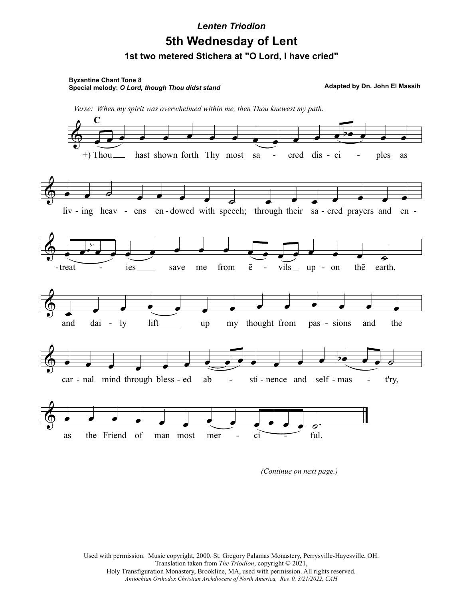## **1st two metered Stichera at "O Lord, I have cried" 5th Wednesday of Lent** *Lenten Triodion*

**Byzantine Chant Tone 8 Special melody:** *O Lord, though Thou didst stand*

**Adapted by Dn. John El Massih**



*(Continue on next page.)*

Used with permission. Music copyright, 2000. St. Gregory Palamas Monastery, Perrysville-Hayesville, OH. Translation taken from *The Triodion*, copyright © 2021, Holy Transfiguration Monastery, Brookline, MA, used with permission. All rights reserved. *Antiochian Orthodox Christian Archdiocese of North America, Rev. 0, 3/21/2022, CAH*